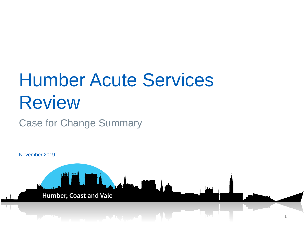# Humber Acute Services Review

### Case for Change Summary

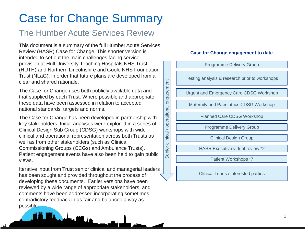# Case for Change Summary

### The Humber Acute Services Review

This document is a summary of the full Humber Acute Services Review (HASR) Case for Change. This shorter version is intended to set out the main challenges facing service provision at Hull University Teaching Hospitals NHS Trust (HUTH) and Northern Lincolnshire and Goole NHS Foundation Trust (NLaG), in order that future plans are developed from a clear and shared rationale.

The Case for Change uses both publicly available data and that supplied by each Trust. Where possible and appropriate, these data have been assessed in relation to accepted national standards, targets and norms.

The Case for Change has been developed in partnership with key stakeholders. Initial analyses were explored in a series of Clinical Design Sub Group (CDSG) workshops with wide clinical and operational representation across both Trusts as well as from other stakeholders (such as Clinical Commissioning Groups (CCGs) and Ambulance Trusts). Patient engagement events have also been held to gain public views.

Iterative input from Trust senior clinical and managerial leaders has been sought and provided throughout the process of developing these documents. Earlier versions have been reviewed by a wide range of appropriate stakeholders, and comments have been addressed incorporating sometimes contradictory feedback in as fair and balanced a way as possible.

Admin 1999. I d

#### **Case for Change engagement to date**



Clinical Leads / interested parties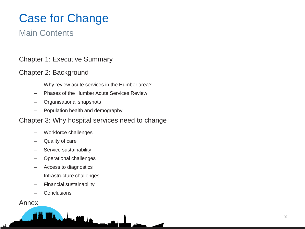# Case for Change

### Main Contents

### Chapter 1: Executive Summary

### Chapter 2: Background

- Why review acute services in the Humber area?
- Phases of the Humber Acute Services Review
- Organisational snapshots
- Population health and demography

### Chapter 3: Why hospital services need to change

- Workforce challenges
- Quality of care
- Service sustainability
- Operational challenges
- Access to diagnostics
- Infrastructure challenges

**Maria Miller** 

- Financial sustainability
- **Conclusions**

### Annex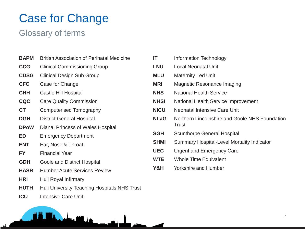# Case for Change

### Glossary of terms

- **BAPM** British Association of Perinatal Medicine
- **CCG** Clinical Commissioning Group
- **CDSG** Clinical Design Sub Group
- **CFC** Case for Change
- **CHH** Castle Hill Hospital
- **CQC** Care Quality Commission
- **CT** Computerised Tomography
- **DGH** District General Hospital
- **DPoW** Diana, Princess of Wales Hospital
- **ED** Emergency Department
- **ENT** Ear, Nose & Throat
- **FY** Financial Year
- **GDH** Goole and District Hospital
- **HASR** Humber Acute Services Review
- **HRI** Hull Royal Infirmary
- **HUTH** Hull University Teaching Hospitals NHS Trust

**Maria Million** 

**ICU** Intensive Care Unit



**Y&H** Yorkshire and Humber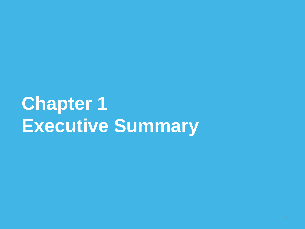# **Chapter 1 Executive Summary**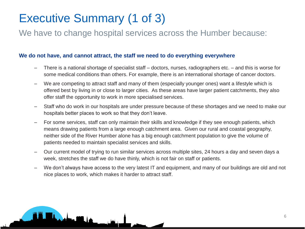# Executive Summary (1 of 3)

**Maria Miller** 

We have to change hospital services across the Humber because:

### **We do not have, and cannot attract, the staff we need to do everything everywhere**

- There is a national shortage of specialist staff doctors, nurses, radiographers etc. and this is worse for some medical conditions than others. For example, there is an international shortage of cancer doctors.
- We are competing to attract staff and many of them (especially younger ones) want a lifestyle which is offered best by living in or close to larger cities. As these areas have larger patient catchments, they also offer staff the opportunity to work in more specialised services.
- Staff who do work in our hospitals are under pressure because of these shortages and we need to make our hospitals better places to work so that they don't leave.
- For some services, staff can only maintain their skills and knowledge if they see enough patients, which means drawing patients from a large enough catchment area. Given our rural and coastal geography, neither side of the River Humber alone has a big enough catchment population to give the volume of patients needed to maintain specialist services and skills.
- Our current model of trying to run similar services across multiple sites, 24 hours a day and seven days a week, stretches the staff we do have thinly, which is not fair on staff or patients.
- We don't always have access to the very latest IT and equipment, and many of our buildings are old and not nice places to work, which makes it harder to attract staff.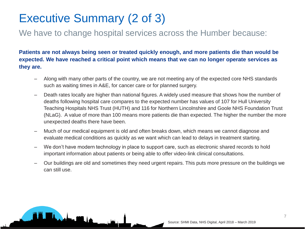# Executive Summary (2 of 3)

<u>bahwa 1998, ja</u>

### We have to change hospital services across the Humber because:

**Patients are not always being seen or treated quickly enough, and more patients die than would be expected. We have reached a critical point which means that we can no longer operate services as they are.**

- Along with many other parts of the country, we are not meeting any of the expected core NHS standards such as waiting times in A&E, for cancer care or for planned surgery.
- Death rates locally are higher than national figures. A widely used measure that shows how the number of deaths following hospital care compares to the expected number has values of 107 for Hull University Teaching Hospitals NHS Trust (HUTH) and 116 for Northern Lincolnshire and Goole NHS Foundation Trust (NLaG). A value of more than 100 means more patients die than expected. The higher the number the more unexpected deaths there have been.
- Much of our medical equipment is old and often breaks down, which means we cannot diagnose and evaluate medical conditions as quickly as we want which can lead to delays in treatment starting.
- We don't have modern technology in place to support care, such as electronic shared records to hold important information about patients or being able to offer video-link clinical consultations.
- Our buildings are old and sometimes they need urgent repairs. This puts more pressure on the buildings we can still use.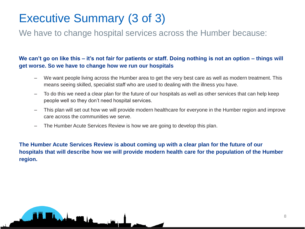# Executive Summary (3 of 3)

<u>bahma 1998, jan</u>

We have to change hospital services across the Humber because:

### **We can't go on like this – it's not fair for patients or staff. Doing nothing is not an option – things will get worse. So we have to change how we run our hospitals**

- We want people living across the Humber area to get the very best care as well as modern treatment. This means seeing skilled, specialist staff who are used to dealing with the illness you have.
- To do this we need a clear plan for the future of our hospitals as well as other services that can help keep people well so they don't need hospital services.
- This plan will set out how we will provide modern healthcare for everyone in the Humber region and improve care across the communities we serve.
- The Humber Acute Services Review is how we are going to develop this plan.

**The Humber Acute Services Review is about coming up with a clear plan for the future of our hospitals that will describe how we will provide modern health care for the population of the Humber region.**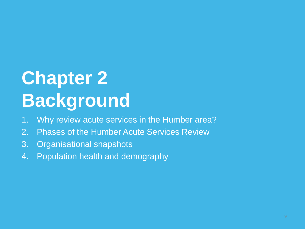# **Chapter 2 Background**

- 1. Why review acute services in the Humber area?
- 2. Phases of the Humber Acute Services Review
- 3. Organisational snapshots
- 4. Population health and demography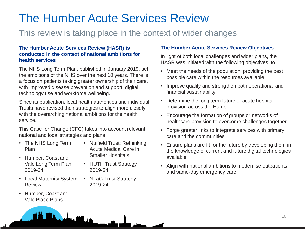# The Humber Acute Services Review

### This review is taking place in the context of wider changes

#### **The Humber Acute Services Review (HASR) is conducted in the context of national ambitions for health services**

The NHS Long Term Plan, published in January 2019, set the ambitions of the NHS over the next 10 years. There is a focus on patients taking greater ownership of their care, with improved disease prevention and support, digital technology use and workforce wellbeing.

Since its publication, local health authorities and individual Trusts have revised their strategies to align more closely with the overarching national ambitions for the health service.

This Case for Change (CFC) takes into account relevant national and local strategies and plans:

admu 100. la

- The NHS Long Term Plan
- Humber, Coast and Vale Long Term Plan 2019-24
- Local Maternity System Review
- Humber, Coast and Vale Place Plans
- Nuffield Trust: Rethinking Acute Medical Care in Smaller Hospitals
- HUTH Trust Strategy 2019-24
- NLaG Trust Strategy 2019-24

### **The Humber Acute Services Review Objectives**

In light of both local challenges and wider plans, the HASR was initiated with the following objectives, to:

- Meet the needs of the population, providing the best possible care within the resources available
- Improve quality and strengthen both operational and financial sustainability
- Determine the long term future of acute hospital provision across the Humber
- Encourage the formation of groups or networks of healthcare provision to overcome challenges together
- Forge greater links to integrate services with primary care and the communities
- Ensure plans are fit for the future by developing them in the knowledge of current and future digital technologies available
- Align with national ambitions to modernise outpatients and same-day emergency care.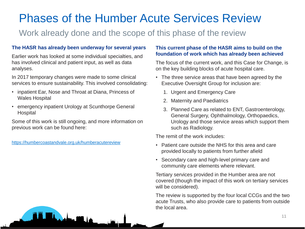# Phases of the Humber Acute Services Review

### Work already done and the scope of this phase of the review

### **The HASR has already been underway for several years**

Earlier work has looked at some individual specialties, and has involved clinical and patient input, as well as data analyses.

In 2017 temporary changes were made to some clinical services to ensure sustainability. This involved consolidating:

- inpatient Ear, Nose and Throat at Diana, Princess of Wales Hospital
- emergency inpatient Urology at Scunthorpe General Hospital

Some of this work is still ongoing, and more information on previous work can be found here:

<u>bahan 1981 ba</u>

<https://humbercoastandvale.org.uk/humberacutereview>

#### **This current phase of the HASR aims to build on the foundation of work which has already been achieved**

The focus of the current work, and this Case for Change, is on the key building blocks of acute hospital care.

- The three service areas that have been agreed by the Executive Oversight Group for inclusion are:
	- 1. Urgent and Emergency Care
	- 2. Maternity and Paediatrics
	- 3. Planned Care as related to ENT, Gastroenterology, General Surgery, Ophthalmology, Orthopaedics, Urology and those service areas which support them such as Radiology.

The remit of the work includes:

- Patient care outside the NHS for this area and care provided locally to patients from further afield
- Secondary care and high-level primary care and community care elements where relevant.

Tertiary services provided in the Humber area are not covered (though the impact of this work on tertiary services will be considered).

The review is supported by the four local CCGs and the two acute Trusts, who also provide care to patients from outside the local area.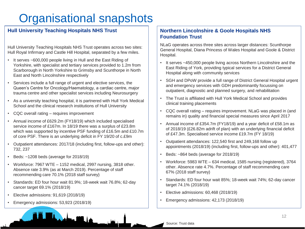# Organisational snapshots

### **Hull University Teaching Hospitals NHS Trust**

Hull University Teaching Hospitals NHS Trust operates across two sites: Hull Royal Infirmary and Castle Hill Hospital, separated by a few miles.

- It serves ~600,000 people living in Hull and the East Riding of Yorkshire, with specialist and tertiary services provided to 1.2m from Scarborough in North Yorkshire to Grimsby and Scunthorpe in North East and North Lincolnshire respectively
- Services include a full range of urgent and elective services, the Queen's Centre for Oncology/Haematology, a cardiac centre, major trauma centre and other specialist services including Neurosurgery
- As a university teaching hospital, it is partnered with Hull York Medical School and the clinical research institutions of Hull University
- CQC overall rating requires improvement
- Annual income of £629.2m (FY18/19) which included specialised service income of £167m. In 18/19 there was a surplus of £23.8m which was supported by incentive PSF funding of £16.5m and £10.7m of core PSF. There is an underlying deficit in FY 19/20 of c.£9m
- Outpatient attendances: 2017/18 (including first, follow-ups and other): 732, 237
- Beds: ~1208 beds (average for 2018/19)
- Workforce: 7967 WTE 1152 medical, 2997 nursing, 3818 other. Absence rate 3.9% (as at March 2019). Percentage of staff recommending care 70.1% (2018 staff survey)
- Standards: ED four hour wait 81.9%; 18-week wait 76.8%; 62-day cancer target 69.1% (2018/19)
- Elective admissions: 91,619 (2018/19)
- Emergency admissions: 53,923 (2018/19)

### **Northern Lincolnshire & Goole Hospitals NHS Foundation Trust**

NLaG operates across three sites across larger distances: Scunthorpe General Hospital, Diana Princess of Wales Hospital and Goole & District Hospital.

- It serves ~450,000 people living across Northern Lincolnshire and the East Riding of York, providing typical services for a District General Hospital along with community services
- SGH and DPoW provide a full range of District General Hospital urgent and emergency services with GDH predominantly focussing on outpatient, diagnostic and planned surgery, and rehabilitation
- The Trust is affiliated with Hull York Medical School and provides clinical training placements
- CQC overall rating requires improvement. NLaG was placed in (and remains in) quality and financial special measures since April 2017
- Annual income of £354.7m (FY18/19) and a year deficit of £58.1m as of 2018/19 (£26.82m adrift of plan) with an underlying financial deficit of £47.3m. Specialised service income £19.7m (FY 18/19)
- Outpatient attendances: 122,540 first and 249,168 follow up appointments (2018/19) (including first, follow-ups and other): 401,477
- Beds: ~864 beds (average for 2018/19)
- Workforce: 5983 WTE 634 medical, 1585 nursing (registered), 3764 other. Absence rate 4.7%. Percentage of staff recommending care 67% (2018 staff survey)
- Standards: ED four hour wait 85%; 18-week wait 74%; 62-day cancer target 74.1% (2018/19)
- Elective admissions: 60,468 (2018/19)
- Emergency admissions: 42,173 (2018/19)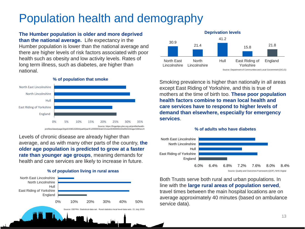## Population health and demography

**Deprivation levels The Humber population is older and more deprived than the national average.** Life expectancy in the Humber population is lower than the national average and there are higher levels of risk factors associated with poor health such as obesity and low activity levels. Rates of long term illness, such as diabetes, are higher than national.



Levels of chronic disease are already higher than average, and as with many other parts of the country, **the older age population is predicted to grow at a faster rate than younger age groups**, meaning demands for health and care services are likely to increase in future.





Smoking prevalence is higher than nationally in all areas except East Riding of Yorkshire, and this is true of mothers at the time of birth too. **These poor population health factors combine to mean local health and care services have to respond to higher levels of demand than elsewhere, especially for emergency services**.





Both Trusts serve both rural and urban populations. In line with the **large rural areas of population served**, travel times between the main hospital locations are on average approximately 40 minutes (based on ambulance service data).

#### 13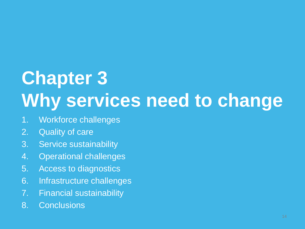# **Chapter 3 Why services need to change**

- 1. Workforce challenges
- 2. Quality of care
- 3. Service sustainability
- 4. Operational challenges
- 5. Access to diagnostics
- 6. Infrastructure challenges
- 7. Financial sustainability
- 8. Conclusions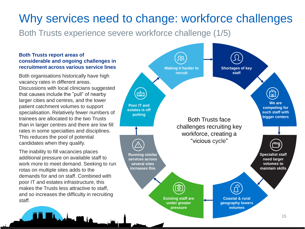Both Trusts experience severe workforce challenge (1/5)

#### **Both Trusts report areas of considerable and ongoing challenges in recruitment across various service lines**

Both organisations historically have high vacancy rates in different areas. Discussions with local clinicians suggested that causes include the "pull" of nearby larger cities and centres, and the lower patient catchment volumes to support specialisation. Relatively fewer numbers of trainees are allocated to the two Trusts than in larger centres and there are low fill rates in some specialties and disciplines. This reduces the pool of potential candidates when they qualify.

The inability to fill vacancies places additional pressure on available staff to work more to meet demand. Seeking to run rotas on multiple sites adds to the demands for and on staff. Combined with poor IT and estates infrastructure, this makes the Trusts less attractive to staff, and so increases the difficulty in recruiting staff.

ہ جنگ

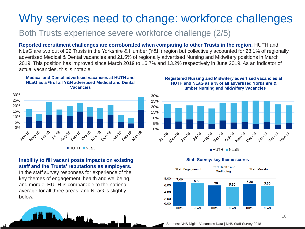### Both Trusts experience severe workforce challenge (2/5)

**Reported recruitment challenges are corroborated when comparing to other Trusts in the region.** HUTH and NLaG are two out of 22 Trusts in the Yorkshire & Humber (Y&H) region but collectively accounted for 28.1% of regionally advertised Medical & Dental vacancies and 21.5% of regionally advertised Nursing and Midwifery positions in March 2019. This position has improved since March 2019 to 16.7% and 13.2% respectively in June 2019. As an indicator of actual vacancies, this is notable.

#### **Medical and Dental advertised vacancies at HUTH and NLaG as a % of all Y&H advertised Medical and Dental Vacancies**



HUTH NLaG

### **Inability to fill vacant posts impacts on existing staff and the Trusts' reputations as employers.**

In the staff survey responses for experience of the key themes of engagement, health and wellbeing, and morale, HUTH is comparable to the national average for all three areas, and NLaG is slightly below.

Admin 1999. I a

#### **Registered Nursing and Midwifery advertised vacancies at HUTH and NLaG as a % of all advertised Yorkshire & Humber Nursing and Midwifery Vacancies**



**HUTH NLaG** 



#### **Staff Survey: key theme scores**

Sources: NHS Digital Vacancies Data | NHS Staff Survey 2018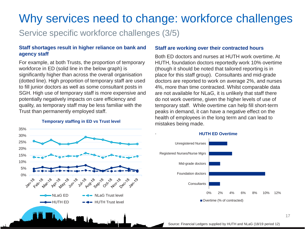.

Service specific workforce challenges (3/5)

#### **Staff shortages result in higher reliance on bank and agency staff**

For example, at both Trusts, the proportion of temporary workforce in ED (solid line in the below graph) is significantly higher than across the overall organisation (dotted line). High proportion of temporary staff are used to fill junior doctors as well as some consultant posts in SGH. High use of temporary staff is more expensive and potentially negatively impacts on care efficiency and quality, as temporary staff may be less familiar with the Trust than permanently employed staff.

**Temporary staffing in ED vs Trust level**



#### **Staff are working over their contracted hours**

Both ED doctors and nurses at HUTH work overtime. At HUTH, foundation doctors reportedly work 10% overtime (though it should be noted that tailored reporting is in place for this staff group). Consultants and mid-grade doctors are reported to work on average 2%, and nurses 4%, more than time contracted. Whilst comparable data are not available for NLaG, it is unlikely that staff there do not work overtime, given the higher levels of use of temporary staff. While overtime can help fill short-term peaks in demand, it can have a negative effect on the health of employees in the long term and can lead to mistakes being made.



#### **HUTH ED Overtime**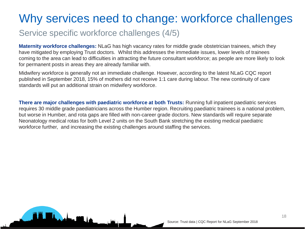### Service specific workforce challenges (4/5)

<u>admu 100. la</u>

**Maternity workforce challenges:** NLaG has high vacancy rates for middle grade obstetrician trainees, which they have mitigated by employing Trust doctors. Whilst this addresses the immediate issues, lower levels of trainees coming to the area can lead to difficulties in attracting the future consultant workforce; as people are more likely to look for permanent posts in areas they are already familiar with.

Midwifery workforce is generally not an immediate challenge. However, according to the latest NLaG CQC report published in September 2018, 15% of mothers did not receive 1:1 care during labour. The new continuity of care standards will put an additional strain on midwifery workforce.

**There are major challenges with paediatric workforce at both Trusts:** Running full inpatient paediatric services requires 30 middle grade paediatricians across the Humber region. Recruiting paediatric trainees is a national problem, but worse in Humber, and rota gaps are filled with non-career grade doctors. New standards will require separate Neonatology medical rotas for both Level 2 units on the South Bank stretching the existing medical paediatric workforce further, and increasing the existing challenges around staffing the services.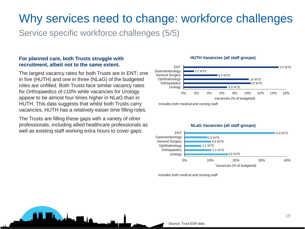Service specific workforce challenges (5/5)

#### **For planned care, both Trusts struggle with recruitment, albeit not to the same extent.**

The largest vacancy rates for both Trusts are in ENT; one in five (HUTH) and one in three (NLaG) of the budgeted roles are unfilled. Both Trusts face similar vacancy rates for Orthopaedics of c10% while vacancies for Urology appear to be almost four times higher in NLaG than in HUTH. This data suggests that whilst both Trusts carry vacancies, HUTH has a relatively easier time filling roles.

The Trusts are filling these gaps with a variety of other professionals, including allied healthcare professionals as well as existing staff working extra hours to cover gaps.

<u>administrativo</u>

#### **HUTH Vacancies (all staff groups)**



Includes both medical and nursing staff



Includes both medical and nursing staff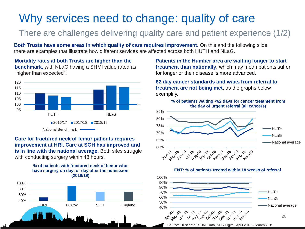## Why services need to change: quality of care

### There are challenges delivering quality care and patient experience (1/2)

**Both Trusts have some areas in which quality of care requires improvement.** On this and the following slide, there are examples that illustrate how different services are affected across both HUTH and NLaG.

**Mortality rates at both Trusts are higher than the benchmark,** with NLaG having a SHMI value rated as "higher than expected".



#### **Care for fractured neck of femur patients requires improvement at HRI. Care at SGH has improved and is in line with the national average.** Both sites struggle with conducting surgery within 48 hours.

#### **% of patients with fractured neck of femur who have surgery on day, or day after the admission (2018/19)**



**Patients in the Humber area are waiting longer to start treatment than nationally**, which may mean patients suffer for longer or their disease is more advanced.

**62 day cancer standards and waits from referral to treatment are not being met**, as the graphs below exemplify.







Source: Trust data | SHMI Data, NHS Digital, April 2018 – March 2019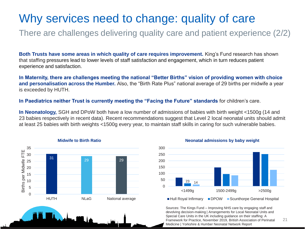## Why services need to change: quality of care

There are challenges delivering quality care and patient experience (2/2)

**Both Trusts have some areas in which quality of care requires improvement.** King's Fund research has shown that staffing pressures lead to lower levels of staff satisfaction and engagement, which in turn reduces patient experience and satisfaction.

**In Maternity, there are challenges meeting the national "Better Births" vision of providing women with choice and personalisation across the Humber.** Also, the "Birth Rate Plus" national average of 29 births per midwife a year is exceeded by HUTH.

**In Paediatrics neither Trust is currently meeting the "Facing the Future" standards** for children's care.

**In Neonatology,** SGH and DPoW both have a low number of admissions of babies with birth weight <1500g (14 and 23 babies respectively in recent data). Recent recommendations suggest that Level 2 local neonatal units should admit at least 25 babies with birth weights <1500g every year, to maintain staff skills in caring for such vulnerable babies.





Sources: The Kings Fund – Improving NHS care by engaging staff and devolving decision-making | Arrangements for Local Neonatal Units and Special Care Units in the UK including guidance on their staffing: A Framework for Practice, November 2019, British Association of Perinatal Medicine | Yorkshire & Humber Neonatal Network Report 21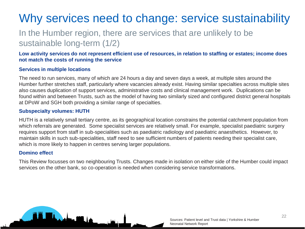# Why services need to change: service sustainability

### In the Humber region, there are services that are unlikely to be sustainable long-term (1/2)

**Low activity services do not represent efficient use of resources, in relation to staffing or estates; income does not match the costs of running the service**

#### **Services in multiple locations**

The need to run services, many of which are 24 hours a day and seven days a week, at multiple sites around the Humber further stretches staff, particularly where vacancies already exist. Having similar specialties across multiple sites also causes duplication of support services, administrative costs and clinical management work. Duplications can be found within and between Trusts, such as the model of having two similarly sized and configured district general hospitals at DPoW and SGH both providing a similar range of specialties.

#### **Subspecialty volumes: HUTH**

HUTH is a relatively small tertiary centre, as its geographical location constrains the potential catchment population from which referrals are generated. Some specialist services are relatively small. For example, specialist paediatric surgery requires support from staff in sub-specialities such as paediatric radiology and paediatric anaesthetics. However, to maintain skills in such sub-specialities, staff need to see sufficient numbers of patients needing their specialist care, which is more likely to happen in centres serving larger populations.

#### **Domino effect**

This Review focusses on two neighbouring Trusts. Changes made in isolation on either side of the Humber could impact services on the other bank, so co-operation is needed when considering service transformations.

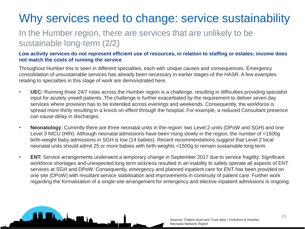# Why services need to change: service sustainability

### In the Humber region, there are services that are unlikely to be sustainable long-term (2/2)

#### **Low activity services do not represent efficient use of resources, in relation to staffing or estates; income does not match the costs of running the service**

Throughout Humber this is seen in different specialties, each with unique causes and consequences. Emergency consolidation of unsustainable services has already been necessary in earlier stages of the HASR. A few examples relating to specialties in this stage of work are demonstrated here.

- **UEC:** Running three 24/7 rotas across the Humber region is a challenge, resulting in difficulties providing specialist input for acutely unwell patients. The challenge is further exacerbated by the requirement to deliver seven day services where provision has to be extended across evenings and weekends. Consequently, the workforce is spread more thinly resulting in a knock on effect through the hospital. For example, a reduced Consultant presence can cause delay in discharges.
- **Neonatology**: Currently there are three neonatal units in the region: two Level 2 units (DPoW and SGH) and one Level 3 NICU (HRI). Although neonatal admissions have been rising slowly in the region, the number of <1500g birth-weight baby admissions in SGH is low (14 babies). Recent recommendations suggest that Level 2 local neonatal units should admit 25 or more babies with birth weights <1500g to remain sustainable long term.
- **ENT:** Service arrangements underwent a temporary change in September 2017 due to service fragility. Significant workforce shortages and unexpected long term sickness resulted in an inability to safely operate all aspects of ENT services at SGH and DPoW. Consequently, emergency and planned inpatient care for ENT has been provided on one site (DPoW) with resultant service stabilisation and improvements in continuity of patient care. Further work regarding the formalisation of a single-site arrangement for emergency and elective inpatient admissions is ongoing.

<u>bahan 1981 ba</u>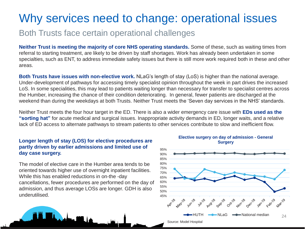### Why services need to change: operational issues

### Both Trusts face certain operational challenges

**Neither Trust is meeting the majority of core NHS operating standards.** Some of these, such as waiting times from referral to starting treatment, are likely to be driven by staff shortages. Work has already been undertaken in some specialties, such as ENT, to address immediate safety issues but there is still more work required both in these and other areas.

**Both Trusts have issues with non-elective work.** NLaG's length of stay (LoS) is higher than the national average. Under-development of pathways for accessing timely specialist opinion throughout the week in part drives the increased LoS. In some specialities, this may lead to patients waiting longer than necessary for transfer to specialist centres across the Humber, increasing the chance of their condition deteriorating. In general, fewer patients are discharged at the weekend than during the weekdays at both Trusts. Neither Trust meets the 'Seven day services in the NHS' standards.

Neither Trust meets the four hour target in the ED. There is also a wider emergency care issue with **EDs used as the "sorting hat"** for acute medical and surgical issues. Inappropriate activity demands in ED, longer waits, and a relative lack of ED access to alternate pathways to stream patients to other services contribute to slow and inefficient flow.

#### **Longer length of stay (LOS) for elective procedures are partly driven by earlier admissions and limited use of day case surgery.**

The model of elective care in the Humber area tends to be oriented towards higher use of overnight inpatient facilities. While this has enabled reductions in on-the -day cancellations, fewer procedures are performed on the day of admission, and thus average LOSs are longer. GDH is also underutilised.

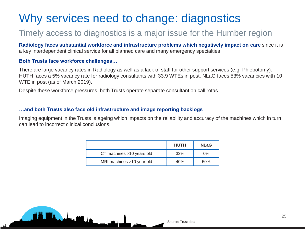# Why services need to change: diagnostics

### Timely access to diagnostics is a major issue for the Humber region

**Radiology faces substantial workforce and infrastructure problems which negatively impact on care** since it is a key interdependent clinical service for all planned care and many emergency specialties

#### **Both Trusts face workforce challenges…**

ذار القريبان

There are large vacancy rates in Radiology as well as a lack of staff for other support services (e.g. Phlebotomy). HUTH faces a 5% vacancy rate for radiology consultants with 33.9 WTEs in post. NLaG faces 53% vacancies with 10 WTE in post (as of March 2019).

Despite these workforce pressures, both Trusts operate separate consultant on call rotas.

#### **…and both Trusts also face old infrastructure and image reporting backlogs**

Imaging equipment in the Trusts is ageing which impacts on the reliability and accuracy of the machines which in turn can lead to incorrect clinical conclusions.

|                           | <b>HUTH</b> | <b>NLaG</b> |
|---------------------------|-------------|-------------|
| CT machines >10 years old | 33%         | $0\%$       |
| MRI machines >10 year old | 40%         | 50%         |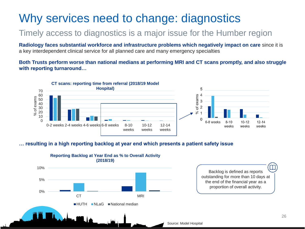## Why services need to change: diagnostics

### Timely access to diagnostics is a major issue for the Humber region

**Radiology faces substantial workforce and infrastructure problems which negatively impact on care** since it is a key interdependent clinical service for all planned care and many emergency specialties

**Both Trusts perform worse than national medians at performing MRI and CT scans promptly, and also struggle with reporting turnaround…** 



#### **… resulting in a high reporting backlog at year end which presents a patient safety issue**



#### $\mathbb T$ Backlog is defined as reports outstanding for more than 10 days at the end of the financial year as a proportion of overall activity.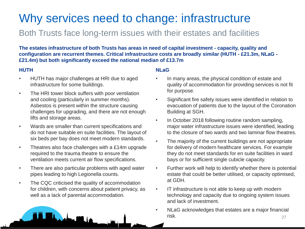# Why services need to change: infrastructure

### Both Trusts face long-term issues with their estates and facilities

**The estates infrastructure of both Trusts has areas in need of capital investment - capacity, quality and configuration are recurrent themes. Critical infrastructure costs are broadly similar (HUTH - £21.3m, NLaG - £21.4m) but both significantly exceed the national median of £13.7m** 

### **HUTH**

- HUTH has major challenges at HRI due to aged infrastructure for some buildings.
- The HRI tower block suffers with poor ventilation and cooling (particularly in summer months). Asbestos is present within the structure causing challenges for upgrading, and there are not enough lifts and storage areas.
- Wards are smaller than current specifications and do not have suitable en suite facilities. The layout of six beds per bay does not meet modern standards.
- Theatres also face challenges with a £14m upgrade required to the trauma theatre to ensure the ventilation meets current air flow specifications.
- There are also particular problems with aged water pipes leading to high Legionella counts.
- The CQC criticised the quality of accommodation for children, with concerns about patient privacy, as well as a lack of parental accommodation.

#### **NLaG**

- In many areas, the physical condition of estate and quality of accommodation for providing services is not fit for purpose.
- Significant fire safety issues were identified in relation to evacuation of patients due to the layout of the Coronation Building at SGH.
- In October 2018 following routine random sampling, major water infrastructure issues were identified, leading to the closure of two wards and two laminar flow theatres.
- The majority of the current buildings are not appropriate for delivery of modern healthcare services. For example they do not meet standards for en suite facilities in ward bays or for sufficient single cubicle capacity.
- Further work will help to identify whether there is potential estate that could be better utilised, or capacity optimised, at GDH.
- IT infrastructure is not able to keep up with modern technology and capacity due to ongoing system issues and lack of investment.
- NLaG acknowledges that estates are a major financial risk. 27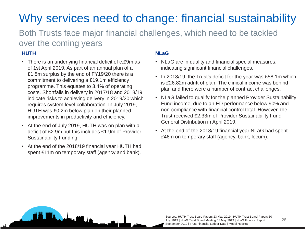# Why services need to change: financial sustainability

Both Trusts face major financial challenges, which need to be tackled over the coming years

### **HUTH**

- There is an underlying financial deficit of c.£9m as of 1st April 2019. As part of an annual plan of a £1.5m surplus by the end of FY19/20 there is a commitment to delivering a £19.1m efficiency programme. This equates to 3.4% of operating costs. Shortfalls in delivery in 2017/18 and 2018/19 indicate risks to achieving delivery in 2019/20 which requires system level collaboration. In July 2019, HUTH was £0.2m below plan on their planned improvements in productivity and efficiency.
- At the end of July 2019, HUTH was on plan with a deficit of £2.9m but this includes £1.9m of Provider Sustainability Funding.
- At the end of the 2018/19 financial year HUTH had spent £11m on temporary staff (agency and bank).

**Maria 1980** 

### **NLaG**

- NLaG are in quality and financial special measures, indicating significant financial challenges.
- In 2018/19, the Trust's deficit for the year was £58.1m which is £26.82m adrift of plan. The clinical income was behind plan and there were a number of contract challenges.
- NLaG failed to qualify for the planned Provider Sustainability Fund income, due to an ED performance below 90% and non-compliance with financial control total. However, the Trust received £2.33m of Provider Sustainability Fund General Distribution in April 2019.
- At the end of the 2018/19 financial year NLaG had spent £46m on temporary staff (agency, bank, locum).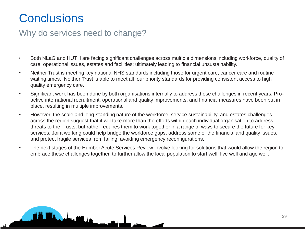# **Conclusions**

### Why do services need to change?

<u>bahwa 110 de</u>

- Both NLaG and HUTH are facing significant challenges across multiple dimensions including workforce, quality of care, operational issues, estates and facilities; ultimately leading to financial unsustainability.
- Neither Trust is meeting key national NHS standards including those for urgent care, cancer care and routine waiting times. Neither Trust is able to meet all four priority standards for providing consistent access to high quality emergency care.
- Significant work has been done by both organisations internally to address these challenges in recent years. Proactive international recruitment, operational and quality improvements, and financial measures have been put in place, resulting in multiple improvements.
- However, the scale and long-standing nature of the workforce, service sustainability, and estates challenges across the region suggest that it will take more than the efforts within each individual organisation to address threats to the Trusts, but rather requires them to work together in a range of ways to secure the future for key services. Joint working could help bridge the workforce gaps, address some of the financial and quality issues, and protect fragile services from failing, avoiding emergency reconfigurations.
- The next stages of the Humber Acute Services Review involve looking for solutions that would allow the region to embrace these challenges together, to further allow the local population to start well, live well and age well.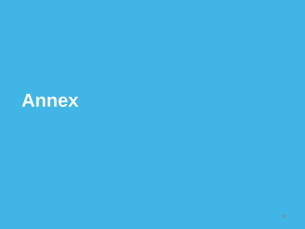# **Annex**